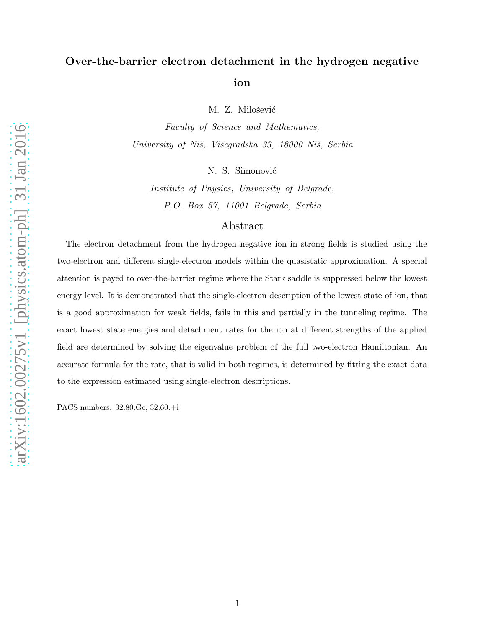## Over-the-barrier electron detachment in the hydrogen negative ion

M. Z. Milošević

Faculty of Science and Mathematics, University of Niš, Višegradska 33, 18000 Niš, Serbia

N. S. Simonović

Institute of Physics, University of Belgrade, P.O. Box 57, 11001 Belgrade, Serbia

## Abstract

The electron detachment from the hydrogen negative ion in strong fields is studied using the two-electron and different single-electron models within the quasistatic approximation. A special attention is payed to over-the-barrier regime where the Stark saddle is suppressed below the lowest energy level. It is demonstrated that the single-electron description of the lowest state of ion, that is a good approximation for weak fields, fails in this and partially in the tunneling regime. The exact lowest state energies and detachment rates for the ion at different strengths of the applied field are determined by solving the eigenvalue problem of the full two-electron Hamiltonian. An accurate formula for the rate, that is valid in both regimes, is determined by fitting the exact data to the expression estimated using single-electron descriptions.

PACS numbers: 32.80.Gc, 32.60.+i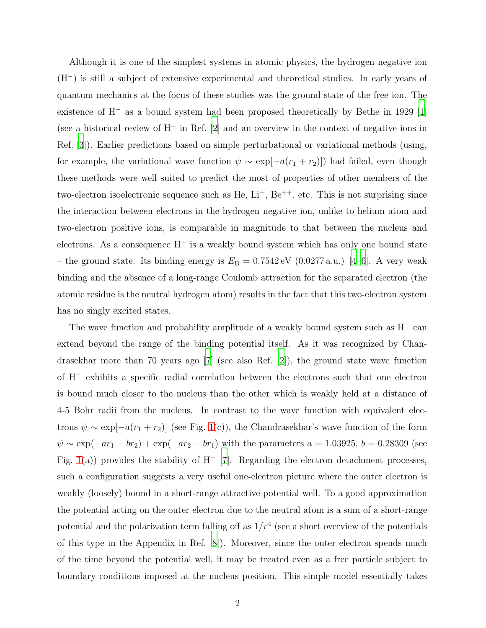Although it is one of the simplest systems in atomic physics, the hydrogen negative ion (H<sup>−</sup>) is still a subject of extensive experimental and theoretical studies. In early years of quantum mechanics at the focus of these studies was the ground state of the free ion. The existence of H<sup>−</sup> as a bound system had been proposed theoretically by Bethe in 1929 [\[1\]](#page-7-0) (see a historical review of H<sup>−</sup> in Ref. [\[2](#page-7-1)] and an overview in the context of negative ions in Ref. [\[3\]](#page-7-2)). Earlier predictions based on simple perturbational or variational methods (using, for example, the variational wave function  $\psi \sim \exp[-a(r_1 + r_2)]$  had failed, even though these methods were well suited to predict the most of properties of other members of the two-electron isoelectronic sequence such as He,  $Li^+$ ,  $Be^{++}$ , etc. This is not surprising since the interaction between electrons in the hydrogen negative ion, unlike to helium atom and two-electron positive ions, is comparable in magnitude to that between the nucleus and electrons. As a consequence H<sup>−</sup> is a weakly bound system which has only one bound state – the ground state. Its binding energy is  $E_B = 0.7542 \,\text{eV}$  (0.0277 a.u.) [\[4](#page-7-3)[–6](#page-8-0)]. A very weak binding and the absence of a long-range Coulomb attraction for the separated electron (the atomic residue is the neutral hydrogen atom) results in the fact that this two-electron system has no singly excited states.

The wave function and probability amplitude of a weakly bound system such as  $H^-$  can extend beyond the range of the binding potential itself. As it was recognized by Chandrasekhar more than 70 years ago [\[7\]](#page-8-1) (see also Ref. [\[2](#page-7-1)]), the ground state wave function of H<sup>−</sup> exhibits a specific radial correlation between the electrons such that one electron is bound much closer to the nucleus than the other which is weakly held at a distance of 4-5 Bohr radii from the nucleus. In contrast to the wave function with equivalent electrons  $\psi \sim \exp[-a(r_1 + r_2)]$  (see Fig. [1\(](#page-4-0)c)), the Chandrasekhar's wave function of the form  $\psi \sim \exp(-ar_1 - br_2) + \exp(-ar_2 - br_1)$  with the parameters  $a = 1.03925, b = 0.28309$  (see Fig. [1\(](#page-4-0)a)) provides the stability of H<sup>-</sup> [\[7](#page-8-1)]. Regarding the electron detachment processes, such a configuration suggests a very useful one-electron picture where the outer electron is weakly (loosely) bound in a short-range attractive potential well. To a good approximation the potential acting on the outer electron due to the neutral atom is a sum of a short-range potential and the polarization term falling off as  $1/r^4$  (see a short overview of the potentials of this type in the Appendix in Ref. [\[8](#page-8-2)]). Moreover, since the outer electron spends much of the time beyond the potential well, it may be treated even as a free particle subject to boundary conditions imposed at the nucleus position. This simple model essentially takes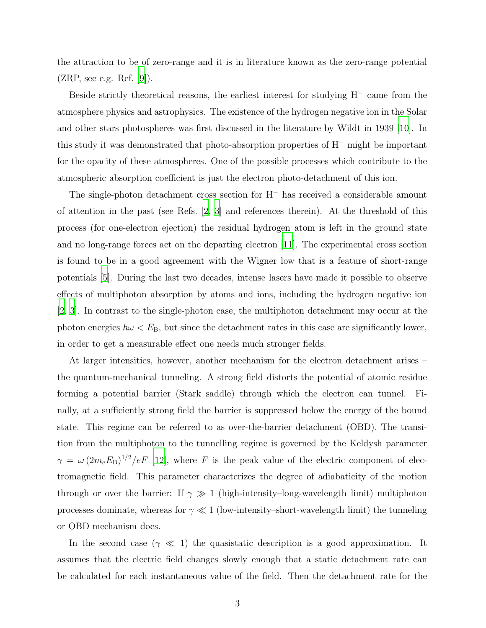the attraction to be of zero-range and it is in literature known as the zero-range potential  $(ZRP, \text{ see e.g. Ref. } [9]).$  $(ZRP, \text{ see e.g. Ref. } [9]).$  $(ZRP, \text{ see e.g. Ref. } [9]).$ 

Beside strictly theoretical reasons, the earliest interest for studying H<sup>−</sup> came from the atmosphere physics and astrophysics. The existence of the hydrogen negative ion in the Solar and other stars photospheres was first discussed in the literature by Wildt in 1939 [\[10](#page-8-4)]. In this study it was demonstrated that photo-absorption properties of H<sup>−</sup> might be important for the opacity of these atmospheres. One of the possible processes which contribute to the atmospheric absorption coefficient is just the electron photo-detachment of this ion.

The single-photon detachment cross section for H<sup>−</sup> has received a considerable amount of attention in the past (see Refs.  $[2, 3]$  $[2, 3]$  and references therein). At the threshold of this process (for one-electron ejection) the residual hydrogen atom is left in the ground state and no long-range forces act on the departing electron [\[11\]](#page-8-5). The experimental cross section is found to be in a good agreement with the Wigner low that is a feature of short-range potentials [\[5](#page-8-6)]. During the last two decades, intense lasers have made it possible to observe effects of multiphoton absorption by atoms and ions, including the hydrogen negative ion [\[2](#page-7-1), [3](#page-7-2)]. In contrast to the single-photon case, the multiphoton detachment may occur at the photon energies  $\hbar\omega < E_B$ , but since the detachment rates in this case are significantly lower, in order to get a measurable effect one needs much stronger fields.

At larger intensities, however, another mechanism for the electron detachment arises – the quantum-mechanical tunneling. A strong field distorts the potential of atomic residue forming a potential barrier (Stark saddle) through which the electron can tunnel. Finally, at a sufficiently strong field the barrier is suppressed below the energy of the bound state. This regime can be referred to as over-the-barrier detachment (OBD). The transition from the multiphoton to the tunnelling regime is governed by the Keldysh parameter  $\gamma = \omega (2m_e E_B)^{1/2}/eF$  [\[12\]](#page-8-7), where F is the peak value of the electric component of electromagnetic field. This parameter characterizes the degree of adiabaticity of the motion through or over the barrier: If  $\gamma \gg 1$  (high-intensity–long-wavelength limit) multiphoton processes dominate, whereas for  $\gamma \ll 1$  (low-intensity–short-wavelength limit) the tunneling or OBD mechanism does.

In the second case  $(\gamma \ll 1)$  the quasistatic description is a good approximation. It assumes that the electric field changes slowly enough that a static detachment rate can be calculated for each instantaneous value of the field. Then the detachment rate for the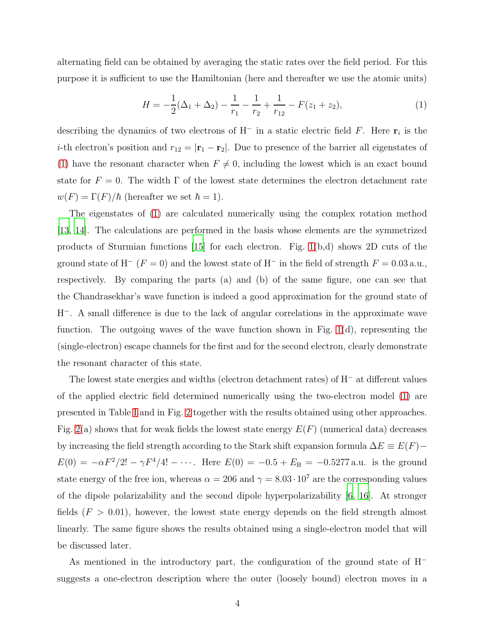alternating field can be obtained by averaging the static rates over the field period. For this purpose it is sufficient to use the Hamiltonian (here and thereafter we use the atomic units)

<span id="page-3-0"></span>
$$
H = -\frac{1}{2}(\Delta_1 + \Delta_2) - \frac{1}{r_1} - \frac{1}{r_2} + \frac{1}{r_{12}} - F(z_1 + z_2),\tag{1}
$$

describing the dynamics of two electrons of H<sup>-</sup> in a static electric field F. Here  $\mathbf{r}_i$  is the *i*-th electron's position and  $r_{12} = |\mathbf{r}_1 - \mathbf{r}_2|$ . Due to presence of the barrier all eigenstates of [\(1\)](#page-3-0) have the resonant character when  $F \neq 0$ , including the lowest which is an exact bound state for  $F = 0$ . The width  $\Gamma$  of the lowest state determines the electron detachment rate  $w(F) = \Gamma(F)/\hbar$  (hereafter we set  $\hbar = 1$ ).

The eigenstates of [\(1\)](#page-3-0) are calculated numerically using the complex rotation method [\[13](#page-8-8), [14](#page-8-9)]. The calculations are performed in the basis whose elements are the symmetrized products of Sturmian functions  $[15]$  for each electron. Fig. [1\(](#page-4-0)b,d) shows 2D cuts of the ground state of H<sup>-</sup> (F = 0) and the lowest state of H<sup>-</sup> in the field of strength  $F = 0.03$  a.u., respectively. By comparing the parts (a) and (b) of the same figure, one can see that the Chandrasekhar's wave function is indeed a good approximation for the ground state of H<sup>−</sup>. A small difference is due to the lack of angular correlations in the approximate wave function. The outgoing waves of the wave function shown in Fig.  $1(d)$ , representing the (single-electron) escape channels for the first and for the second electron, clearly demonstrate the resonant character of this state.

The lowest state energies and widths (electron detachment rates) of H<sup>−</sup> at different values of the applied electric field determined numerically using the two-electron model [\(1\)](#page-3-0) are presented in Table [I](#page-9-0) and in Fig. [2](#page-5-0) together with the results obtained using other approaches. Fig. [2\(](#page-5-0)a) shows that for weak fields the lowest state energy  $E(F)$  (numerical data) decreases by increasing the field strength according to the Stark shift expansion formula  $\Delta E \equiv E(F)$  –  $E(0) = -\alpha F^2/2! - \gamma F^4/4! - \cdots$ . Here  $E(0) = -0.5 + E_B = -0.5277$  a.u. is the ground state energy of the free ion, whereas  $\alpha = 206$  and  $\gamma = 8.03 \cdot 10^7$  are the corresponding values of the dipole polarizability and the second dipole hyperpolarizability [\[6](#page-8-0), [16](#page-8-11)]. At stronger fields  $(F > 0.01)$ , however, the lowest state energy depends on the field strength almost linearly. The same figure shows the results obtained using a single-electron model that will be discussed later.

As mentioned in the introductory part, the configuration of the ground state of H<sup>−</sup> suggests a one-electron description where the outer (loosely bound) electron moves in a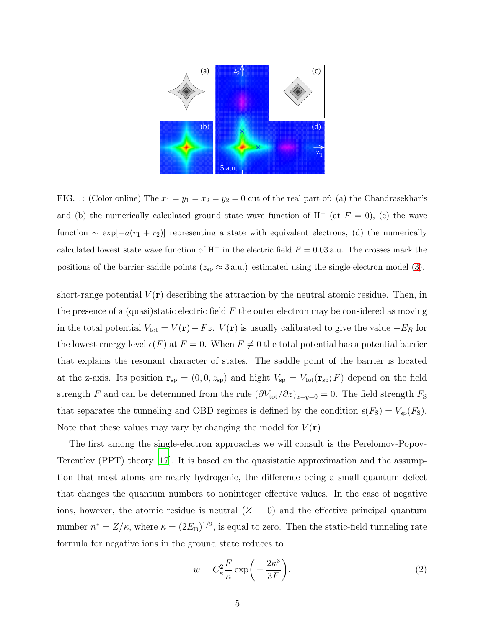

<span id="page-4-0"></span>FIG. 1: (Color online) The  $x_1 = y_1 = x_2 = y_2 = 0$  cut of the real part of: (a) the Chandrasekhar's and (b) the numerically calculated ground state wave function of H<sup>-</sup> (at  $F = 0$ ), (c) the wave function  $\sim \exp[-a(r_1 + r_2)]$  representing a state with equivalent electrons, (d) the numerically calculated lowest state wave function of H<sup>−</sup> in the electric field  $F = 0.03$  a.u. The crosses mark the positions of the barrier saddle points ( $z_{sp} \approx 3 \text{ a.u.}$ ) estimated using the single-electron model [\(3\)](#page-6-0).

short-range potential  $V(\mathbf{r})$  describing the attraction by the neutral atomic residue. Then, in the presence of a (quasi)static electric field  $F$  the outer electron may be considered as moving in the total potential  $V_{\text{tot}} = V(\mathbf{r}) - Fz$ .  $V(\mathbf{r})$  is usually calibrated to give the value  $-E_B$  for the lowest energy level  $\epsilon(F)$  at  $F = 0$ . When  $F \neq 0$  the total potential has a potential barrier that explains the resonant character of states. The saddle point of the barrier is located at the z-axis. Its position  $\mathbf{r}_{sp} = (0, 0, z_{sp})$  and hight  $V_{sp} = V_{tot}(\mathbf{r}_{sp}; F)$  depend on the field strength F and can be determined from the rule  $(\partial V_{\text{tot}}/\partial z)_{x=y=0} = 0$ . The field strength  $F_{\text{S}}$ that separates the tunneling and OBD regimes is defined by the condition  $\epsilon(F_S) = V_{sp}(F_S)$ . Note that these values may vary by changing the model for  $V(\mathbf{r})$ .

The first among the single-electron approaches we will consult is the Perelomov-Popov-Terent'ev (PPT) theory [\[17\]](#page-8-12). It is based on the quasistatic approximation and the assumption that most atoms are nearly hydrogenic, the difference being a small quantum defect that changes the quantum numbers to noninteger effective values. In the case of negative ions, however, the atomic residue is neutral  $(Z = 0)$  and the effective principal quantum number  $n^* = Z/\kappa$ , where  $\kappa = (2E_B)^{1/2}$ , is equal to zero. Then the static-field tunneling rate formula for negative ions in the ground state reduces to

<span id="page-4-1"></span>
$$
w = C_{\kappa}^2 \frac{F}{\kappa} \exp\left(-\frac{2\kappa^3}{3F}\right).
$$
 (2)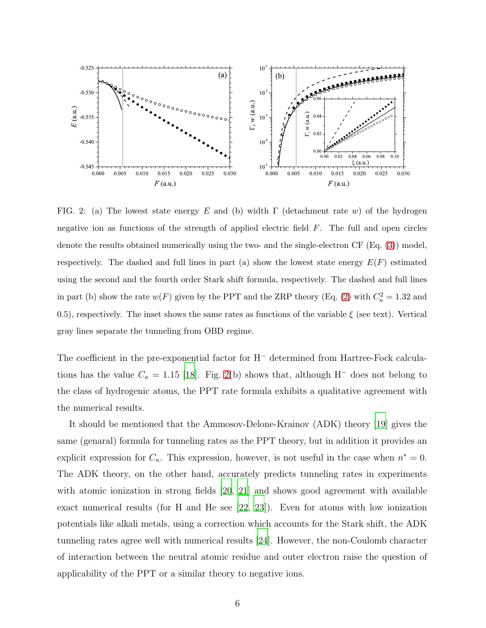

<span id="page-5-0"></span>FIG. 2: (a) The lowest state energy E and (b) width  $\Gamma$  (detachment rate w) of the hydrogen negative ion as functions of the strength of applied electric field  $F$ . The full and open circles denote the results obtained numerically using the two- and the single-electron CF (Eq. [\(3\)](#page-6-0)) model, respectively. The dashed and full lines in part (a) show the lowest state energy  $E(F)$  estimated using the second and the fourth order Stark shift formula, respectively. The dashed and full lines in part (b) show the rate  $w(F)$  given by the PPT and the ZRP theory (Eq. [\(2\)](#page-4-1) with  $C_{\kappa}^2 = 1.32$  and 0.5), respectively. The inset shows the same rates as functions of the variable  $\xi$  (see text). Vertical gray lines separate the tunneling from OBD regime.

The coefficient in the pre-exponential factor for H<sup>−</sup> determined from Hartree-Fock calculations has the value  $C_{\kappa} = 1.15$  [\[18](#page-8-13)]. Fig. [2\(](#page-5-0)b) shows that, although H<sup>-</sup> does not belong to the class of hydrogenic atoms, the PPT rate formula exhibits a qualitative agreement with the numerical results.

It should be mentioned that the Ammosov-Delone-Krainov (ADK) theory [\[19\]](#page-8-14) gives the same (genaral) formula for tunneling rates as the PPT theory, but in addition it provides an explicit expression for  $C_{\kappa}$ . This expression, however, is not useful in the case when  $n^* = 0$ . The ADK theory, on the other hand, accurately predicts tunneling rates in experiments with atomic ionization in strong fields [\[20](#page-8-15), [21](#page-8-16)] and shows good agreement with available exact numerical results (for H and He see [\[22,](#page-8-17) [23\]](#page-8-18)). Even for atoms with low ionization potentials like alkali metals, using a correction which accounts for the Stark shift, the ADK tunneling rates agree well with numerical results [\[24](#page-8-19)]. However, the non-Coulomb character of interaction between the neutral atomic residue and outer electron raise the question of applicability of the PPT or a similar theory to negative ions.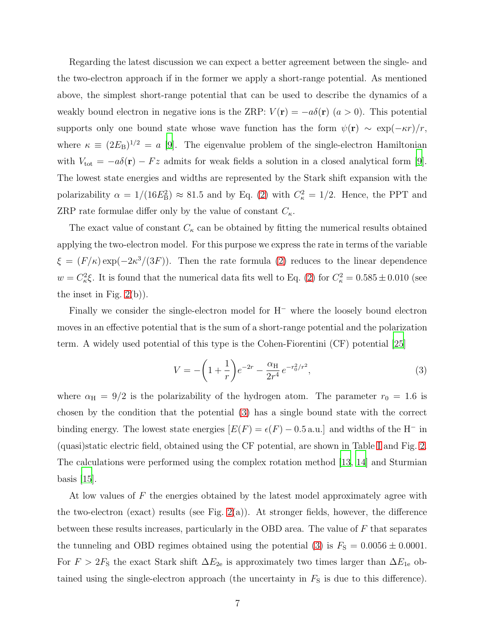Regarding the latest discussion we can expect a better agreement between the single- and the two-electron approach if in the former we apply a short-range potential. As mentioned above, the simplest short-range potential that can be used to describe the dynamics of a weakly bound electron in negative ions is the ZRP:  $V(\mathbf{r}) = -a\delta(\mathbf{r})$  ( $a > 0$ ). This potential supports only one bound state whose wave function has the form  $\psi(\mathbf{r}) \sim \exp(-\kappa r)/r$ , where  $\kappa \equiv (2E_B)^{1/2} = a$  [\[9\]](#page-8-3). The eigenvalue problem of the single-electron Hamiltonian with  $V_{\text{tot}} = -a\delta(\mathbf{r}) - Fz$  admits for weak fields a solution in a closed analytical form [\[9\]](#page-8-3). The lowest state energies and widths are represented by the Stark shift expansion with the polarizability  $\alpha = 1/(16E_{\rm B}^2) \approx 81.5$  and by Eq. [\(2\)](#page-4-1) with  $C_{\kappa}^2 = 1/2$ . Hence, the PPT and ZRP rate formulae differ only by the value of constant  $C_{\kappa}$ .

The exact value of constant  $C_{\kappa}$  can be obtained by fitting the numerical results obtained applying the two-electron model. For this purpose we express the rate in terms of the variable  $\xi = (F/\kappa) \exp(-2\kappa^3/(3F))$ . Then the rate formula [\(2\)](#page-4-1) reduces to the linear dependence  $w = C_{\kappa}^2 \xi$ . It is found that the numerical data fits well to Eq. [\(2\)](#page-4-1) for  $C_{\kappa}^2 = 0.585 \pm 0.010$  (see the inset in Fig. [2\(](#page-5-0)b)).

Finally we consider the single-electron model for H<sup>−</sup> where the loosely bound electron moves in an effective potential that is the sum of a short-range potential and the polarization term. A widely used potential of this type is the Cohen-Fiorentini (CF) potential [\[25\]](#page-8-20)

<span id="page-6-0"></span>
$$
V = -\left(1 + \frac{1}{r}\right)e^{-2r} - \frac{\alpha_H}{2r^4}e^{-r_0^2/r^2},\tag{3}
$$

where  $\alpha_{\text{H}} = 9/2$  is the polarizability of the hydrogen atom. The parameter  $r_0 = 1.6$  is chosen by the condition that the potential [\(3\)](#page-6-0) has a single bound state with the correct binding energy. The lowest state energies  $[E(F) = \epsilon(F) - 0.5 \text{ a.u.}]$  and widths of the H<sup>-</sup> in (quasi)static electric field, obtained using the CF potential, are shown in Table [I](#page-9-0) and Fig. [2.](#page-5-0) The calculations were performed using the complex rotation method [\[13,](#page-8-8) [14\]](#page-8-9) and Sturmian basis [\[15\]](#page-8-10).

At low values of F the energies obtained by the latest model approximately agree with the two-electron (exact) results (see Fig.  $2(a)$ ). At stronger fields, however, the difference between these results increases, particularly in the OBD area. The value of  $F$  that separates the tunneling and OBD regimes obtained using the potential [\(3\)](#page-6-0) is  $F<sub>S</sub> = 0.0056 \pm 0.0001$ . For  $F > 2F<sub>S</sub>$  the exact Stark shift  $\Delta E_{2e}$  is approximately two times larger than  $\Delta E_{1e}$  obtained using the single-electron approach (the uncertainty in  $F<sub>S</sub>$  is due to this difference).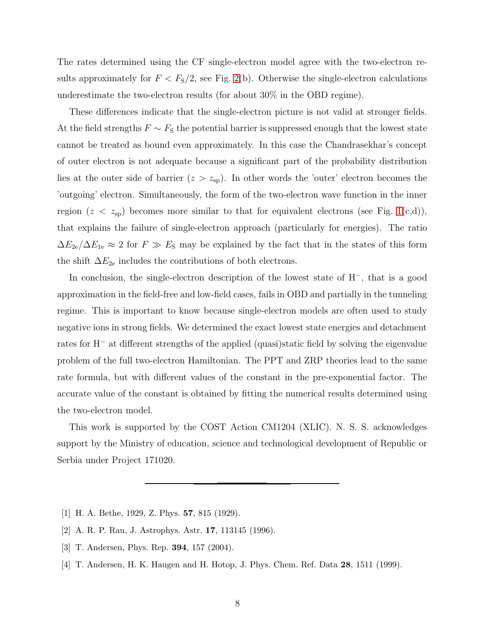The rates determined using the CF single-electron model agree with the two-electron results approximately for  $F < F<sub>S</sub>/2$ , see Fig. [2\(](#page-5-0)b). Otherwise the single-electron calculations underestimate the two-electron results (for about 30% in the OBD regime).

These differences indicate that the single-electron picture is not valid at stronger fields. At the field strengths  $F \sim F_S$  the potential barrier is suppressed enough that the lowest state cannot be treated as bound even approximately. In this case the Chandrasekhar's concept of outer electron is not adequate because a significant part of the probability distribution lies at the outer side of barrier  $(z > z_{sp})$ . In other words the 'outer' electron becomes the 'outgoing' electron. Simultaneously, the form of the two-electron wave function in the inner region  $(z \lt z_{\rm sp})$  becomes more similar to that for equivalent electrons (see Fig. [1\(](#page-4-0)c,d)), that explains the failure of single-electron approach (particularly for energies). The ratio  $\Delta E_{2e}/\Delta E_{1e} \approx 2$  for  $F \gg E_{\rm S}$  may be explained by the fact that in the states of this form the shift  $\Delta E_{2e}$  includes the contributions of both electrons.

In conclusion, the single-electron description of the lowest state of H<sup>−</sup>, that is a good approximation in the field-free and low-field cases, fails in OBD and partially in the tunneling regime. This is important to know because single-electron models are often used to study negative ions in strong fields. We determined the exact lowest state energies and detachment rates for H<sup>−</sup> at different strengths of the applied (quasi)static field by solving the eigenvalue problem of the full two-electron Hamiltonian. The PPT and ZRP theories lead to the same rate formula, but with different values of the constant in the pre-exponential factor. The accurate value of the constant is obtained by fitting the numerical results determined using the two-electron model.

This work is supported by the COST Action CM1204 (XLIC). N. S. S. acknowledges support by the Ministry of education, science and technological development of Republic or Serbia under Project 171020.

- <span id="page-7-0"></span>[1] H. A. Bethe, 1929, Z. Phys. 57, 815 (1929).
- <span id="page-7-1"></span>[2] A. R. P. Rau, J. Astrophys. Astr. 17, 113145 (1996).
- <span id="page-7-2"></span>[3] T. Andersen, Phys. Rep. **394**, 157 (2004).
- <span id="page-7-3"></span>[4] T. Andersen, H. K. Haugen and H. Hotop, J. Phys. Chem. Ref. Data 28, 1511 (1999).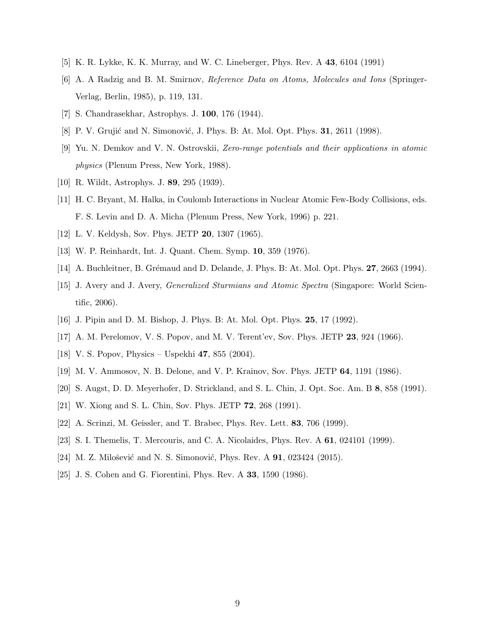- <span id="page-8-6"></span><span id="page-8-0"></span>[5] K. R. Lykke, K. K. Murray, and W. C. Lineberger, Phys. Rev. A 43, 6104 (1991)
- [6] A. A Radzig and B. M. Smirnov, Reference Data on Atoms, Molecules and Ions (Springer-Verlag, Berlin, 1985), p. 119, 131.
- <span id="page-8-2"></span><span id="page-8-1"></span>[7] S. Chandrasekhar, Astrophys. J. 100, 176 (1944).
- <span id="page-8-3"></span>[8] P. V. Grujić and N. Simonović, J. Phys. B: At. Mol. Opt. Phys. **31**, 2611 (1998).
- [9] Yu. N. Demkov and V. N. Ostrovskii, Zero-range potentials and their applications in atomic physics (Plenum Press, New York, 1988).
- <span id="page-8-5"></span><span id="page-8-4"></span>[10] R. Wildt, Astrophys. J. 89, 295 (1939).
- [11] H. C. Bryant, M. Halka, in Coulomb Interactions in Nuclear Atomic Few-Body Collisions, eds. F. S. Levin and D. A. Micha (Plenum Press, New York, 1996) p. 221.
- <span id="page-8-8"></span><span id="page-8-7"></span>[12] L. V. Keldysh, Sov. Phys. JETP 20, 1307 (1965).
- <span id="page-8-9"></span>[13] W. P. Reinhardt, Int. J. Quant. Chem. Symp. 10, 359 (1976).
- <span id="page-8-10"></span>[14] A. Buchleitner, B. Grémaud and D. Delande, J. Phys. B: At. Mol. Opt. Phys. 27, 2663 (1994).
- [15] J. Avery and J. Avery, Generalized Sturmians and Atomic Spectra (Singapore: World Scientific, 2006).
- <span id="page-8-12"></span><span id="page-8-11"></span>[16] J. Pipin and D. M. Bishop, J. Phys. B: At. Mol. Opt. Phys. 25, 17 (1992).
- [17] A. M. Perelomov, V. S. Popov, and M. V. Terent'ev, Sov. Phys. JETP 23, 924 (1966).
- <span id="page-8-13"></span>[18] V. S. Popov, Physics – Uspekhi 47, 855 (2004).
- <span id="page-8-14"></span>[19] M. V. Ammosov, N. B. Delone, and V. P. Krainov, Sov. Phys. JETP 64, 1191 (1986).
- <span id="page-8-15"></span>[20] S. Augst, D. D. Meyerhofer, D. Strickland, and S. L. Chin, J. Opt. Soc. Am. B 8, 858 (1991).
- <span id="page-8-16"></span>[21] W. Xiong and S. L. Chin, Sov. Phys. JETP 72, 268 (1991).
- <span id="page-8-17"></span>[22] A. Scrinzi, M. Geissler, and T. Brabec, Phys. Rev. Lett. 83, 706 (1999).
- <span id="page-8-18"></span>[23] S. I. Themelis, T. Mercouris, and C. A. Nicolaides, Phys. Rev. A 61, 024101 (1999).
- <span id="page-8-19"></span>[24] M. Z. Milošević and N. S. Simonović, Phys. Rev. A 91, 023424 (2015).
- <span id="page-8-20"></span>[25] J. S. Cohen and G. Fiorentini, Phys. Rev. A 33, 1590 (1986).